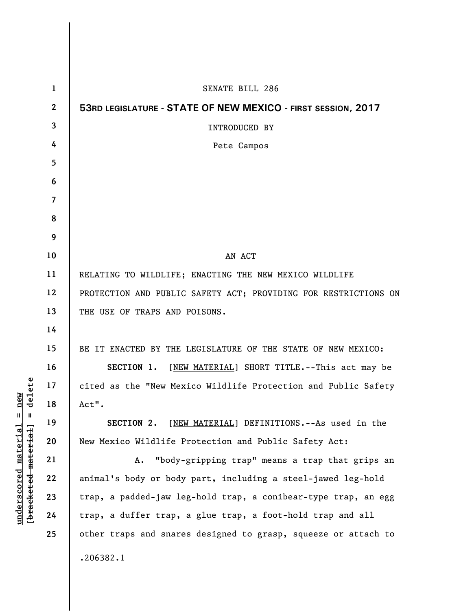| $\mathbf{1}$   | <b>SENATE BILL 286</b>                                          |
|----------------|-----------------------------------------------------------------|
| $\mathbf{2}$   | 53RD LEGISLATURE - STATE OF NEW MEXICO - FIRST SESSION, 2017    |
| 3              | INTRODUCED BY                                                   |
| 4              | Pete Campos                                                     |
| 5              |                                                                 |
| 6              |                                                                 |
| $\overline{7}$ |                                                                 |
| 8              |                                                                 |
| 9              |                                                                 |
| 10             | AN ACT                                                          |
| 11             | RELATING TO WILDLIFE; ENACTING THE NEW MEXICO WILDLIFE          |
| 12             | PROTECTION AND PUBLIC SAFETY ACT; PROVIDING FOR RESTRICTIONS ON |
| 13             | THE USE OF TRAPS AND POISONS.                                   |
| 14             |                                                                 |
| 15             | BE IT ENACTED BY THE LEGISLATURE OF THE STATE OF NEW MEXICO:    |
| 16             | [NEW MATERIAL] SHORT TITLE.--This act may be<br>SECTION 1.      |
| 17             | cited as the "New Mexico Wildlife Protection and Public Safety  |
| 18             | Act".                                                           |
| 19             | SECTION 2.<br>[NEW MATERIAL] DEFINITIONS. -- As used in the     |
| 20             | New Mexico Wildlife Protection and Public Safety Act:           |
| 21             | "body-gripping trap" means a trap that grips an<br>A.           |
| 22             | animal's body or body part, including a steel-jawed leg-hold    |
| 23             | trap, a padded-jaw leg-hold trap, a conibear-type trap, an egg  |
| 24             | trap, a duffer trap, a glue trap, a foot-hold trap and all      |
| 25             | other traps and snares designed to grasp, squeeze or attach to  |
|                | .206382.1                                                       |
|                |                                                                 |

 $[**bracket eted metert et**] = **del et e**$ **[bracketed material] = delete**  $underscored material = new$ **underscored material = new**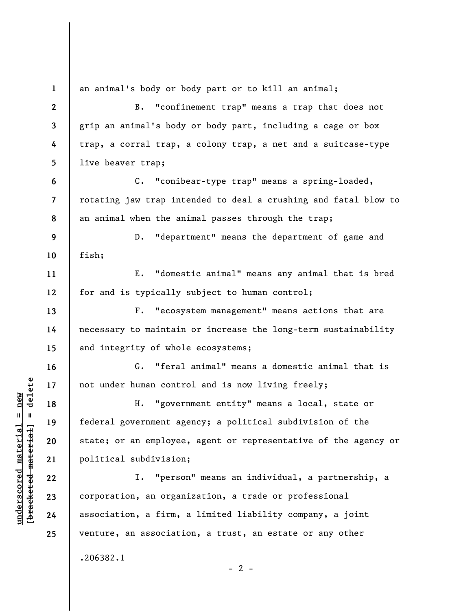**1 2 3 4 5 6 7 8 9 10 11 12 13 14 15 16 17 18 19 20 21 22 23 24 25**  an animal's body or body part or to kill an animal; B. "confinement trap" means a trap that does not grip an animal's body or body part, including a cage or box trap, a corral trap, a colony trap, a net and a suitcase-type live beaver trap; C. "conibear-type trap" means a spring-loaded, rotating jaw trap intended to deal a crushing and fatal blow to an animal when the animal passes through the trap; D. "department" means the department of game and fish; E. "domestic animal" means any animal that is bred for and is typically subject to human control; F. "ecosystem management" means actions that are necessary to maintain or increase the long-term sustainability and integrity of whole ecosystems; G. "feral animal" means a domestic animal that is not under human control and is now living freely; H. "government entity" means a local, state or federal government agency; a political subdivision of the state; or an employee, agent or representative of the agency or political subdivision; I. "person" means an individual, a partnership, a corporation, an organization, a trade or professional association, a firm, a limited liability company, a joint venture, an association, a trust, an estate or any other .206382.1

 $\frac{1}{2}$  intereted material = delete **[bracketed material] = delete**  $underscored material = new$ **underscored material = new**

 $- 2 -$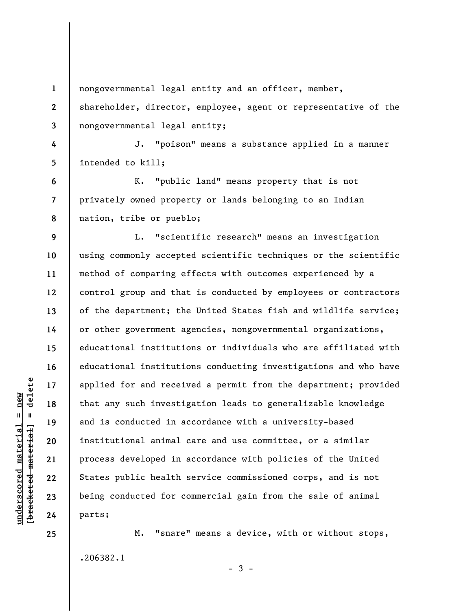**1 2 3 4 5 6 7 8 9 10 11 12 13 14 15 16 17 18 19 20 21 22 23 24**  nongovernmental legal entity and an officer, member, shareholder, director, employee, agent or representative of the nongovernmental legal entity; J. "poison" means a substance applied in a manner intended to kill; K. "public land" means property that is not privately owned property or lands belonging to an Indian nation, tribe or pueblo; L. "scientific research" means an investigation using commonly accepted scientific techniques or the scientific method of comparing effects with outcomes experienced by a control group and that is conducted by employees or contractors of the department; the United States fish and wildlife service; or other government agencies, nongovernmental organizations, educational institutions or individuals who are affiliated with educational institutions conducting investigations and who have applied for and received a permit from the department; provided that any such investigation leads to generalizable knowledge and is conducted in accordance with a university-based institutional animal care and use committee, or a similar process developed in accordance with policies of the United States public health service commissioned corps, and is not being conducted for commercial gain from the sale of animal parts;

M. "snare" means a device, with or without stops, .206382.1

 $-3 -$ 

 $\frac{1}{2}$  intereted material = delete **[bracketed material] = delete**  $underscored material = new$ **underscored material = new**

**25**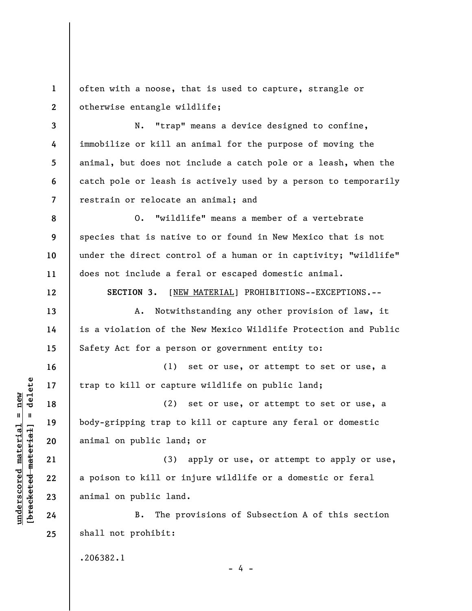**1 2**  often with a noose, that is used to capture, strangle or otherwise entangle wildlife;

**3 4 5 6 7**  N. "trap" means a device designed to confine, immobilize or kill an animal for the purpose of moving the animal, but does not include a catch pole or a leash, when the catch pole or leash is actively used by a person to temporarily restrain or relocate an animal; and

**8 9 10 11**  O. "wildlife" means a member of a vertebrate species that is native to or found in New Mexico that is not under the direct control of a human or in captivity; "wildlife" does not include a feral or escaped domestic animal.

**SECTION 3.** [NEW MATERIAL] PROHIBITIONS--EXCEPTIONS.--

A. Notwithstanding any other provision of law, it is a violation of the New Mexico Wildlife Protection and Public Safety Act for a person or government entity to:

(1) set or use, or attempt to set or use, a trap to kill or capture wildlife on public land;

(2) set or use, or attempt to set or use, a body-gripping trap to kill or capture any feral or domestic animal on public land; or

(3) apply or use, or attempt to apply or use, a poison to kill or injure wildlife or a domestic or feral animal on public land.

B. The provisions of Subsection A of this section shall not prohibit:

.206382.1

- 4 -

 $\frac{1}{2}$  intereted material = delete **[bracketed material] = delete**  $underscored material = new$ **underscored material = new**

**12** 

**13** 

**14** 

**15** 

**16** 

**17** 

**18** 

**19** 

**20** 

**21** 

**22** 

**23** 

**24** 

**25**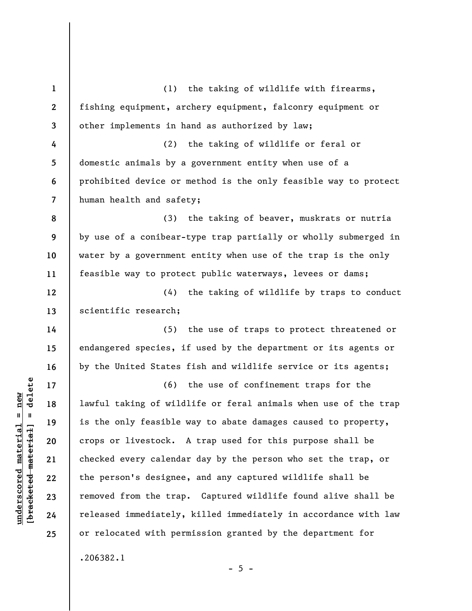**1 2 3 4 5 6 7 8 9 10 11 12 13 14 15 16 17 18 19 20 21 22 23 24 25**  (1) the taking of wildlife with firearms, fishing equipment, archery equipment, falconry equipment or other implements in hand as authorized by law; (2) the taking of wildlife or feral or domestic animals by a government entity when use of a prohibited device or method is the only feasible way to protect human health and safety; (3) the taking of beaver, muskrats or nutria by use of a conibear-type trap partially or wholly submerged in water by a government entity when use of the trap is the only feasible way to protect public waterways, levees or dams; (4) the taking of wildlife by traps to conduct scientific research; (5) the use of traps to protect threatened or endangered species, if used by the department or its agents or by the United States fish and wildlife service or its agents; (6) the use of confinement traps for the lawful taking of wildlife or feral animals when use of the trap is the only feasible way to abate damages caused to property, crops or livestock. A trap used for this purpose shall be checked every calendar day by the person who set the trap, or the person's designee, and any captured wildlife shall be removed from the trap. Captured wildlife found alive shall be released immediately, killed immediately in accordance with law or relocated with permission granted by the department for .206382.1

 $- 5 -$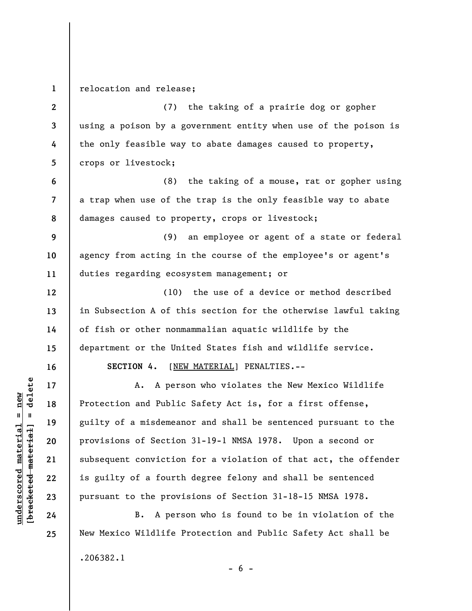**1 2 3 4 5 6 7 8 9 10 11 12 13 14 15 16 17 18 19 20 21 22 23 24 25**  relocation and release; (7) the taking of a prairie dog or gopher using a poison by a government entity when use of the poison is the only feasible way to abate damages caused to property, crops or livestock; (8) the taking of a mouse, rat or gopher using a trap when use of the trap is the only feasible way to abate damages caused to property, crops or livestock; (9) an employee or agent of a state or federal agency from acting in the course of the employee's or agent's duties regarding ecosystem management; or (10) the use of a device or method described in Subsection A of this section for the otherwise lawful taking of fish or other nonmammalian aquatic wildlife by the department or the United States fish and wildlife service. **SECTION 4.** [NEW MATERIAL] PENALTIES.-- A. A person who violates the New Mexico Wildlife Protection and Public Safety Act is, for a first offense, guilty of a misdemeanor and shall be sentenced pursuant to the provisions of Section 31-19-1 NMSA 1978. Upon a second or subsequent conviction for a violation of that act, the offender is guilty of a fourth degree felony and shall be sentenced pursuant to the provisions of Section 31-18-15 NMSA 1978. B. A person who is found to be in violation of the New Mexico Wildlife Protection and Public Safety Act shall be .206382.1

 $\frac{1}{2}$  of  $\frac{1}{2}$  and  $\frac{1}{2}$  and  $\frac{1}{2}$  and  $\frac{1}{2}$  and  $\frac{1}{2}$  and  $\frac{1}{2}$  and  $\frac{1}{2}$  and  $\frac{1}{2}$  and  $\frac{1}{2}$  and  $\frac{1}{2}$  and  $\frac{1}{2}$  and  $\frac{1}{2}$  and  $\frac{1}{2}$  and  $\frac{1}{2}$  and  $\frac{1}{2}$  an **[bracketed material] = delete**  $underscored material = new$ **underscored material = new**

 $- 6 -$